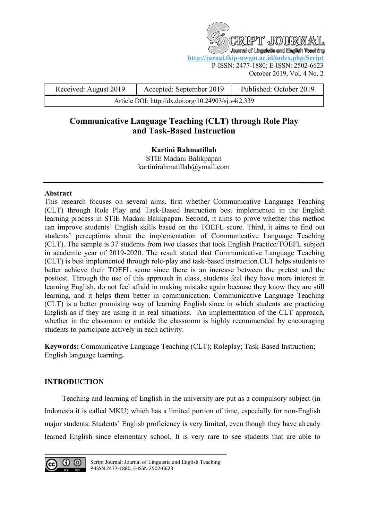T JOU Journal of Linguistic and English Teaching **<http://jurnal.fkip-uwgm.ac.id/index.php/Script>** P-ISSN: 2477-1880; E-ISSN: 2502-6623 October 2019, Vol. 4 No. 2

| Received: August 2019                               | Accepted: September 2019 | Published: October 2019 |
|-----------------------------------------------------|--------------------------|-------------------------|
| Article DOI: http://dx.doi.org/10.24903/sj.v4i2.339 |                          |                         |

# **Communicative Language Teaching (CLT) through Role Play and Task-Based Instruction**

**Kartini Rahmatillah**  STIE Madani Balikpapan [kartinirahmatillah@ymail.com](mailto:kartinirahmatillah@ymail.com)

## **Abstract**

This research focuses on several aims, first whether Communicative Language Teaching (CLT) through Role Play and Task-Based Instruction best implemented in the English learning process in STIE Madani Balikpapan. Second, it aims to prove whether this method can improve students' English skills based on the TOEFL score. Third, it aims to find out students' perceptions about the implementation of Communicative Language Teaching (CLT). The sample is 37 students from two classes that took English Practice/TOEFL subject in academic year of 2019-2020. The result stated that Communicative Language Teaching (CLT) is best implemented through role-play and task-based instruction.CLT helps students to better achieve their TOEFL score since there is an increase between the pretest and the posttest. Through the use of this approach in class, students feel they have more interest in learning English, do not feel afraid in making mistake again because they know they are still learning, and it helps them better in communication. Communicative Language Teaching (CLT) is a better promising way of learning English since in which students are practicing English as if they are using it in real situations. An implementation of the CLT approach, whether in the classroom or outside the classroom is highly recommended by encouraging students to participate actively in each activity.

**Keywords:** Communicative Language Teaching (CLT); Roleplay; Task-Based Instruction; English language learning**.**

# **INTRODUCTION**

Teaching and learning of English in the university are put as a compulsory subject (in Indonesia it is called MKU) which has a limited portion of time, especially for non-English major students. Students' English proficiency is very limited, even though they have already learned English since elementary school. It is very rare to see students that are able to

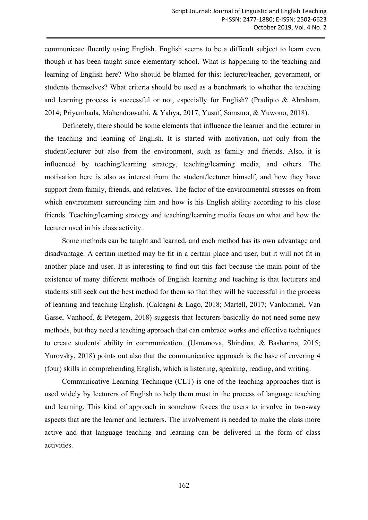communicate fluently using English. English seems to be a difficult subject to learn even though it has been taught since elementary school. What is happening to the teaching and learning of English here? Who should be blamed for this: lecturer/teacher, government, or students themselves? What criteria should be used as a benchmark to whether the teaching and learning process is successful or not, especially for English? (Pradipto & Abraham, 2014; Priyambada, Mahendrawathi, & Yahya, 2017; Yusuf, Samsura, & Yuwono, 2018).

Definetely, there should be some elements that influence the learner and the lecturer in the teaching and learning of English. It is started with motivation, not only from the student/lecturer but also from the environment, such as family and friends. Also, it is influenced by teaching/learning strategy, teaching/learning media, and others. The motivation here is also as interest from the student/lecturer himself, and how they have support from family, friends, and relatives. The factor of the environmental stresses on from which environment surrounding him and how is his English ability according to his close friends. Teaching/learning strategy and teaching/learning media focus on what and how the lecturer used in his class activity.

Some methods can be taught and learned, and each method has its own advantage and disadvantage. A certain method may be fit in a certain place and user, but it will not fit in another place and user. It is interesting to find out this fact because the main point of the existence of many different methods of English learning and teaching is that lecturers and students still seek out the best method for them so that they will be successful in the process of learning and teaching English. (Calcagni & Lago, 2018; Martell, 2017; Vanlommel, Van Gasse, Vanhoof, & Petegem, 2018) suggests that lecturers basically do not need some new methods, but they need a teaching approach that can embrace works and effective techniques to create students' ability in communication. (Usmanova, Shindina, & Basharina, 2015; Yurovsky, 2018) points out also that the communicative approach is the base of covering 4 (four) skills in comprehending English, which is listening, speaking, reading, and writing.

Communicative Learning Technique (CLT) is one of the teaching approaches that is used widely by lecturers of English to help them most in the process of language teaching and learning. This kind of approach in somehow forces the users to involve in two-way aspects that are the learner and lecturers. The involvement is needed to make the class more active and that language teaching and learning can be delivered in the form of class activities.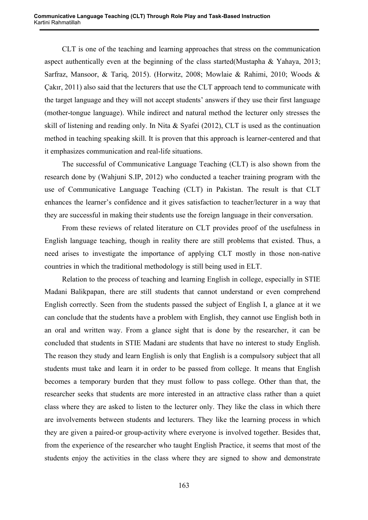CLT is one of the teaching and learning approaches that stress on the communication aspect authentically even at the beginning of the class started(Mustapha & Yahaya, 2013; Sarfraz, Mansoor, & Tariq, 2015). (Horwitz, 2008; Mowlaie & Rahimi, 2010; Woods & Çakır, 2011) also said that the lecturers that use the CLT approach tend to communicate with the target language and they will not accept students' answers if they use their first language (mother-tongue language). While indirect and natural method the lecturer only stresses the skill of listening and reading only. In Nita & Syafei (2012), CLT is used as the continuation method in teaching speaking skill. It is proven that this approach is learner-centered and that it emphasizes communication and real-life situations.

The successful of Communicative Language Teaching (CLT) is also shown from the research done by (Wahjuni S.IP, 2012) who conducted a teacher training program with the use of Communicative Language Teaching (CLT) in Pakistan. The result is that CLT enhances the learner's confidence and it gives satisfaction to teacher/lecturer in a way that they are successful in making their students use the foreign language in their conversation.

From these reviews of related literature on CLT provides proof of the usefulness in English language teaching, though in reality there are still problems that existed. Thus, a need arises to investigate the importance of applying CLT mostly in those non-native countries in which the traditional methodology is still being used in ELT.

Relation to the process of teaching and learning English in college, especially in STIE Madani Balikpapan, there are still students that cannot understand or even comprehend English correctly. Seen from the students passed the subject of English I, a glance at it we can conclude that the students have a problem with English, they cannot use English both in an oral and written way. From a glance sight that is done by the researcher, it can be concluded that students in STIE Madani are students that have no interest to study English. The reason they study and learn English is only that English is a compulsory subject that all students must take and learn it in order to be passed from college. It means that English becomes a temporary burden that they must follow to pass college. Other than that, the researcher seeks that students are more interested in an attractive class rather than a quiet class where they are asked to listen to the lecturer only. They like the class in which there are involvements between students and lecturers. They like the learning process in which they are given a paired-or group-activity where everyone is involved together. Besides that, from the experience of the researcher who taught English Practice, it seems that most of the students enjoy the activities in the class where they are signed to show and demonstrate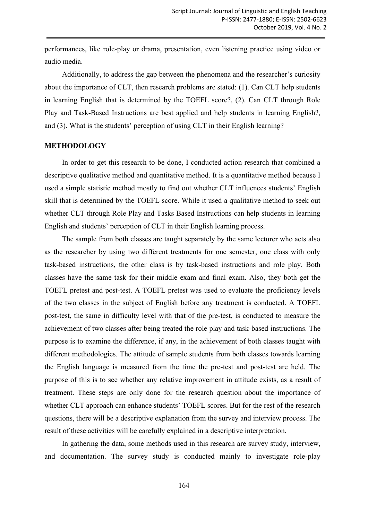performances, like role-play or drama, presentation, even listening practice using video or audio media.

Additionally, to address the gap between the phenomena and the researcher's curiosity about the importance of CLT, then research problems are stated: (1). Can CLT help students in learning English that is determined by the TOEFL score?, (2). Can CLT through Role Play and Task-Based Instructions are best applied and help students in learning English?, and (3). What is the students' perception of using CLT in their English learning?

#### **METHODOLOGY**

In order to get this research to be done, I conducted action research that combined a descriptive qualitative method and quantitative method. It is a quantitative method because I used a simple statistic method mostly to find out whether CLT influences students' English skill that is determined by the TOEFL score. While it used a qualitative method to seek out whether CLT through Role Play and Tasks Based Instructions can help students in learning English and students' perception of CLT in their English learning process.

The sample from both classes are taught separately by the same lecturer who acts also as the researcher by using two different treatments for one semester, one class with only task-based instructions, the other class is by task-based instructions and role play. Both classes have the same task for their middle exam and final exam. Also, they both get the TOEFL pretest and post-test. A TOEFL pretest was used to evaluate the proficiency levels of the two classes in the subject of English before any treatment is conducted. A TOEFL post-test, the same in difficulty level with that of the pre-test, is conducted to measure the achievement of two classes after being treated the role play and task-based instructions. The purpose is to examine the difference, if any, in the achievement of both classes taught with different methodologies. The attitude of sample students from both classes towards learning the English language is measured from the time the pre-test and post-test are held. The purpose of this is to see whether any relative improvement in attitude exists, as a result of treatment. These steps are only done for the research question about the importance of whether CLT approach can enhance students' TOEFL scores. But for the rest of the research questions, there will be a descriptive explanation from the survey and interview process. The result of these activities will be carefully explained in a descriptive interpretation.

In gathering the data, some methods used in this research are survey study, interview, and documentation. The survey study is conducted mainly to investigate role-play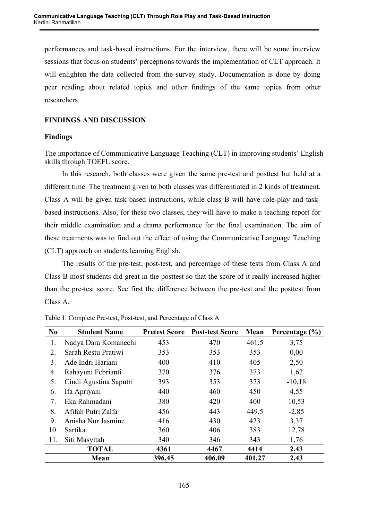performances and task-based instructions. For the interview, there will be some interview sessions that focus on students' perceptions towards the implementation of CLT approach. It will enlighten the data collected from the survey study. Documentation is done by doing peer reading about related topics and other findings of the same topics from other researchers.

# **FINDINGS AND DISCUSSION**

# **Findings**

The importance of Communicative Language Teaching (CLT) in improving students' English skills through TOEFL score.

In this research, both classes were given the same pre-test and posttest but held at a different time. The treatment given to both classes was differentiated in 2 kinds of treatment. Class A will be given task-based instructions, while class B will have role-play and taskbased instructions. Also, for these two classes, they will have to make a teaching report for their middle examination and a drama performance for the final examination. The aim of these treatments was to find out the effect of using the Communicative Language Teaching (CLT) approach on students learning English.

The results of the pre-test, post-test, and percentage of these tests from Class A and Class B most students did great in the posttest so that the score of it really increased higher than the pre-test score. See first the difference between the pre-test and the posttest from Class A.

| N <sub>0</sub> | <b>Student Name</b>    | <b>Pretest Score</b> | <b>Post-test Score</b> | Mean   | Percentage $(\% )$ |
|----------------|------------------------|----------------------|------------------------|--------|--------------------|
| 1.             | Nadya Dara Komanechi   | 453                  | 470                    | 461,5  | 3,75               |
| 2.             | Sarah Restu Pratiwi    | 353                  | 353                    | 353    | 0,00               |
| 3.             | Ade Indri Hariani      | 400                  | 410                    | 405    | 2,50               |
| 4.             | Rahayuni Febrianti     | 370                  | 376                    | 373    | 1,62               |
| 5.             | Cindi Agustina Saputri | 393                  | 353                    | 373    | $-10,18$           |
| 6.             | Ifa Apriyani           | 440                  | 460                    | 450    | 4,55               |
| 7.             | Eka Rahmadani          | 380                  | 420                    | 400    | 10,53              |
| 8.             | Afifah Putri Zalfa     | 456                  | 443                    | 449,5  | $-2,85$            |
| 9.             | Anisha Nur Jasmine     | 416                  | 430                    | 423    | 3,37               |
| 10.            | Sartika                | 360                  | 406                    | 383    | 12,78              |
| 11.            | Siti Masyitah          | 340                  | 346                    | 343    | 1,76               |
|                | <b>TOTAL</b>           | 4361                 | 4467                   | 4414   | 2,43               |
|                | Mean                   | 396,45               | 406,09                 | 401,27 | 2,43               |

Table 1. Complete Pre-test, Post-test, and Percentage of Class A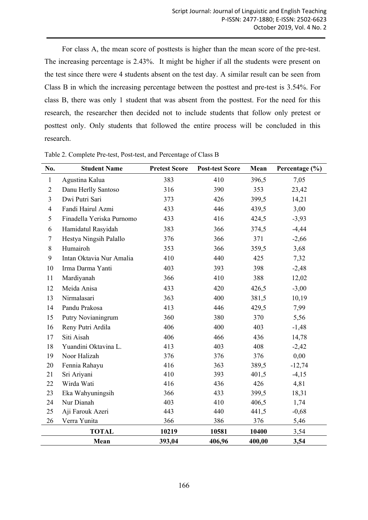For class A, the mean score of posttests is higher than the mean score of the pre-test. The increasing percentage is 2.43%. It might be higher if all the students were present on the test since there were 4 students absent on the test day. A similar result can be seen from Class B in which the increasing percentage between the posttest and pre-test is 3.54%. For class B, there was only 1 student that was absent from the posttest. For the need for this research, the researcher then decided not to include students that follow only pretest or posttest only. Only students that followed the entire process will be concluded in this research.

| No.                     | <b>Student Name</b>       | <b>Pretest Score</b> | <b>Post-test Score</b> | Mean   | Percentage (%) |
|-------------------------|---------------------------|----------------------|------------------------|--------|----------------|
| $\mathbf{1}$            | Agustina Kalua            | 383                  | 410                    | 396,5  | 7,05           |
| $\overline{2}$          | Danu Herlly Santoso       | 316                  | 390                    | 353    | 23,42          |
| $\overline{3}$          | Dwi Putri Sari            | 373                  | 426                    | 399,5  | 14,21          |
| $\overline{\mathbf{4}}$ | Fandi Hairul Azmi         | 433                  | 446                    | 439,5  | 3,00           |
| 5                       | Finadella Yeriska Purnomo | 433                  | 416                    | 424,5  | $-3,93$        |
| 6                       | Hamidatul Rasyidah        | 383                  | 366                    | 374,5  | $-4,44$        |
| 7                       | Hestya Ningsih Palallo    | 376                  | 366                    | 371    | $-2,66$        |
| 8                       | Humairoh                  | 353                  | 366                    | 359,5  | 3,68           |
| 9                       | Intan Oktavia Nur Amalia  | 410                  | 440                    | 425    | 7,32           |
| 10                      | Irma Darma Yanti          | 403                  | 393                    | 398    | $-2,48$        |
| 11                      | Mardiyanah                | 366                  | 410                    | 388    | 12,02          |
| 12                      | Meida Anisa               | 433                  | 420                    | 426,5  | $-3,00$        |
| 13                      | Nirmalasari               | 363                  | 400                    | 381,5  | 10,19          |
| 14                      | Pandu Prakosa             | 413                  | 446                    | 429,5  | 7,99           |
| 15                      | Putry Novianingrum        | 360                  | 380                    | 370    | 5,56           |
| 16                      | Reny Putri Ardila         | 406                  | 400                    | 403    | $-1,48$        |
| 17                      | Siti Aisah                | 406                  | 466                    | 436    | 14,78          |
| 18                      | Yuandini Oktavina L.      | 413                  | 403                    | 408    | $-2,42$        |
| 19                      | Noor Halizah              | 376                  | 376                    | 376    | 0,00           |
| 20                      | Fennia Rahayu             | 416                  | 363                    | 389,5  | $-12,74$       |
| 21                      | Sri Ariyani               | 410                  | 393                    | 401,5  | $-4,15$        |
| 22                      | Wirda Wati                | 416                  | 436                    | 426    | 4,81           |
| 23                      | Eka Wahyuningsih          | 366                  | 433                    | 399,5  | 18,31          |
| 24                      | Nur Dianah                | 403                  | 410                    | 406,5  | 1,74           |
| 25                      | Aji Farouk Azeri          | 443                  | 440                    | 441,5  | $-0,68$        |
| 26                      | Verra Yunita              | 366                  | 386                    | 376    | 5,46           |
|                         | <b>TOTAL</b>              | 10219                | 10581                  | 10400  | 3,54           |
|                         | Mean                      | 393,04               | 406,96                 | 400,00 | 3,54           |

Table 2. Complete Pre-test, Post-test, and Percentage of Class B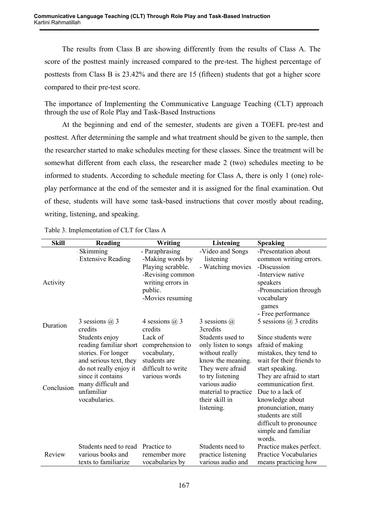The results from Class B are showing differently from the results of Class A. The score of the posttest mainly increased compared to the pre-test. The highest percentage of posttests from Class B is 23.42% and there are 15 (fifteen) students that got a higher score compared to their pre-test score.

The importance of Implementing the Communicative Language Teaching (CLT) approach through the use of Role Play and Task-Based Instructions

At the beginning and end of the semester, students are given a TOEFL pre-test and posttest. After determining the sample and what treatment should be given to the sample, then the researcher started to make schedules meeting for these classes. Since the treatment will be somewhat different from each class, the researcher made 2 (two) schedules meeting to be informed to students. According to schedule meeting for Class A, there is only 1 (one) roleplay performance at the end of the semester and it is assigned for the final examination. Out of these, students will have some task-based instructions that cover mostly about reading, writing, listening, and speaking.

| <b>Skill</b> | Reading                          | Writing               | Listening                              | <b>Speaking</b>                          |
|--------------|----------------------------------|-----------------------|----------------------------------------|------------------------------------------|
|              | <b>Skimming</b>                  | - Paraphrasing        | -Video and Songs                       | -Presentation about                      |
|              | <b>Extensive Reading</b>         | -Making words by      | listening                              | common writing errors.                   |
|              |                                  | Playing scrabble.     | - Watching movies                      | -Discussion                              |
|              |                                  | -Revising common      |                                        | -Interview native                        |
| Activity     |                                  | writing errors in     |                                        | speakers                                 |
|              |                                  | public.               |                                        | -Pronunciation through                   |
|              |                                  | -Movies resuming      |                                        | vocabulary                               |
|              |                                  |                       |                                        | games                                    |
|              |                                  |                       |                                        | - Free performance                       |
| Duration     | 3 sessions $(a)$ 3               | 4 sessions $\omega$ 3 | 3 sessions $(a)$                       | 5 sessions $\omega$ 3 credits            |
|              | credits                          | credits               | 3credits                               |                                          |
|              | Students enjoy                   | Lack of               | Students used to                       | Since students were                      |
|              | reading familiar short           | comprehension to      | only listen to songs                   | afraid of making                         |
|              | stories. For longer              | vocabulary,           | without really                         | mistakes, they tend to                   |
|              | and serious text, they           | students are          | know the meaning.                      | wait for their friends to                |
|              | do not really enjoy it           | difficult to write    | They were afraid                       | start speaking.                          |
|              | since it contains                | various words         | to try listening                       | They are afraid to start                 |
| Conclusion   | many difficult and<br>unfamiliar |                       | various audio                          | communication first.<br>Due to a lack of |
|              | vocabularies.                    |                       | material to practice<br>their skill in |                                          |
|              |                                  |                       | listening.                             | knowledge about<br>pronunciation, many   |
|              |                                  |                       |                                        | students are still                       |
|              |                                  |                       |                                        | difficult to pronounce                   |
|              |                                  |                       |                                        | simple and familiar                      |
|              |                                  |                       |                                        | words.                                   |
|              | Students need to read            | Practice to           | Students need to                       | Practice makes perfect.                  |
| Review       | various books and                | remember more         | practice listening                     | <b>Practice Vocabularies</b>             |
|              | texts to familiarize             | vocabularies by       | various audio and                      | means practicing how                     |

Table 3. Implementation of CLT for Class A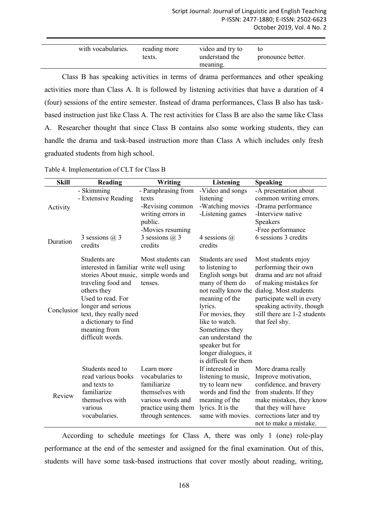| with vocabularies. | reading more<br>texts. | video and try to<br>understand the<br>meaning. | τo<br>pronounce better. |
|--------------------|------------------------|------------------------------------------------|-------------------------|

Class B has speaking activities in terms of drama performances and other speaking activities more than Class A. It is followed by listening activities that have a duration of 4 (four) sessions of the entire semester. Instead of drama performances, Class B also has taskbased instruction just like Class A. The rest activities for Class B are also the same like Class A. Researcher thought that since Class B contains also some working students, they can handle the drama and task-based instruction more than Class A which includes only fresh graduated students from high school.

| <b>Skill</b> | Reading                                                                                                                                                                                                                                                                | Writing                                                                                                                           | <b>Listening</b>                                                                                                                                                                                                                                            | <b>Speaking</b>                                                                                                                                                                                                                                            |
|--------------|------------------------------------------------------------------------------------------------------------------------------------------------------------------------------------------------------------------------------------------------------------------------|-----------------------------------------------------------------------------------------------------------------------------------|-------------------------------------------------------------------------------------------------------------------------------------------------------------------------------------------------------------------------------------------------------------|------------------------------------------------------------------------------------------------------------------------------------------------------------------------------------------------------------------------------------------------------------|
| Activity     | - Skimming<br>- Extensive Reading                                                                                                                                                                                                                                      | - Paraphrasing from<br>texts<br>-Revising common<br>writing errors in<br>public.                                                  | -Video and songs<br>listening<br>-Watching movies<br>-Listening games                                                                                                                                                                                       | -A presentation about<br>common writing errors.<br>-Drama performance<br>-Interview native<br><b>Speakers</b>                                                                                                                                              |
| Duration     | 3 sessions $(a)$ 3<br>credits                                                                                                                                                                                                                                          | -Movies resuming<br>3 sessions $(a)$ 3<br>credits                                                                                 | 4 sessions $(a)$<br>credits                                                                                                                                                                                                                                 | -Free performance<br>6 sessions 3 credits                                                                                                                                                                                                                  |
| Conclusion   | Students are<br>interested in familiar write well using<br>stories About music, simple words and<br>traveling food and<br>others they<br>Used to read. For<br>longer and serious<br>text, they really need<br>a dictionary to find<br>meaning from<br>difficult words. | Most students can<br>tenses.                                                                                                      | Students are used<br>to listening to<br>English songs but<br>many of them do<br>meaning of the<br>lyrics.<br>For movies, they<br>like to watch.<br>Sometimes they<br>can understand the<br>speaker but for<br>longer dialogues, it<br>is difficult for them | Most students enjoy<br>performing their own<br>drama and are not afraid<br>of making mistakes for<br>not really know the dialog. Most students<br>participate well in every<br>speaking activity, though<br>still there are 1-2 students<br>that feel shy. |
| Review       | Students need to<br>read various books<br>and texts to<br>familiarize<br>themselves with<br>various<br>vocabularies.                                                                                                                                                   | Learn more<br>vocabularies to<br>familiarize<br>themselves with<br>various words and<br>practice using them<br>through sentences. | If interested in<br>listening to music,<br>try to learn new<br>words and find the<br>meaning of the<br>lyrics. It is the<br>same with movies.                                                                                                               | More drama really<br>Improve motivation,<br>confidence, and bravery<br>from students. If they<br>make mistakes, they know<br>that they will have<br>corrections later and try<br>not to make a mistake.                                                    |

Table 4. Implementation of CLT for Class B

According to schedule meetings for Class A, there was only 1 (one) role-play performance at the end of the semester and assigned for the final examination. Out of this, students will have some task-based instructions that cover mostly about reading, writing,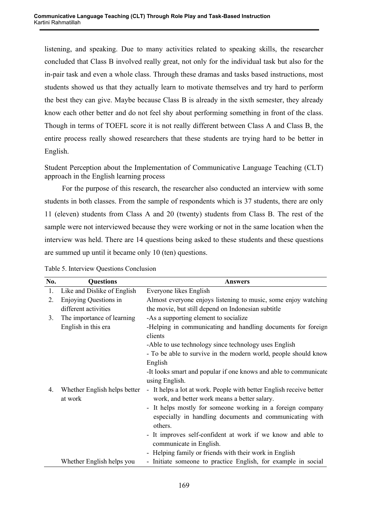listening, and speaking. Due to many activities related to speaking skills, the researcher concluded that Class B involved really great, not only for the individual task but also for the in-pair task and even a whole class. Through these dramas and tasks based instructions, most students showed us that they actually learn to motivate themselves and try hard to perform the best they can give. Maybe because Class B is already in the sixth semester, they already know each other better and do not feel shy about performing something in front of the class. Though in terms of TOEFL score it is not really different between Class A and Class B, the entire process really showed researchers that these students are trying hard to be better in English.

Student Perception about the Implementation of Communicative Language Teaching (CLT) approach in the English learning process

For the purpose of this research, the researcher also conducted an interview with some students in both classes. From the sample of respondents which is 37 students, there are only 11 (eleven) students from Class A and 20 (twenty) students from Class B. The rest of the sample were not interviewed because they were working or not in the same location when the interview was held. There are 14 questions being asked to these students and these questions are summed up until it became only 10 (ten) questions.

| No. | <b>Questions</b>             | <b>Answers</b>                                                                         |
|-----|------------------------------|----------------------------------------------------------------------------------------|
| 1.  | Like and Dislike of English  | Everyone likes English                                                                 |
| 2.  | Enjoying Questions in        | Almost everyone enjoys listening to music, some enjoy watching                         |
|     | different activities         | the movie, but still depend on Indonesian subtitle                                     |
| 3.  | The importance of learning   | -As a supporting element to socialize                                                  |
|     | English in this era          | -Helping in communicating and handling documents for foreign<br>clients                |
|     |                              | -Able to use technology since technology uses English                                  |
|     |                              | - To be able to survive in the modern world, people should know                        |
|     |                              | English                                                                                |
|     |                              | -It looks smart and popular if one knows and able to communicate                       |
|     |                              | using English.                                                                         |
| 4.  | Whether English helps better | - It helps a lot at work. People with better English receive better                    |
|     | at work                      | work, and better work means a better salary.                                           |
|     |                              | - It helps mostly for someone working in a foreign company                             |
|     |                              | especially in handling documents and communicating with<br>others.                     |
|     |                              | - It improves self-confident at work if we know and able to<br>communicate in English. |
|     |                              | - Helping family or friends with their work in English                                 |
|     | Whether English helps you    | - Initiate someone to practice English, for example in social                          |

Table 5. Interview Questions Conclusion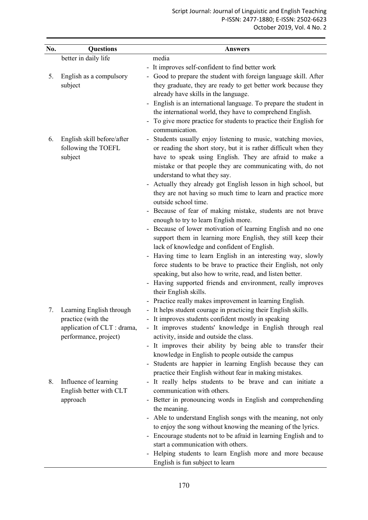| No. | <b>Questions</b>                                  | <b>Answers</b>                                                                                                                  |
|-----|---------------------------------------------------|---------------------------------------------------------------------------------------------------------------------------------|
|     | better in daily life                              | media                                                                                                                           |
|     |                                                   | It improves self-confident to find better work<br>$\overline{\phantom{a}}$                                                      |
| 5.  | English as a compulsory                           | Good to prepare the student with foreign language skill. After                                                                  |
|     | subject                                           | they graduate, they are ready to get better work because they                                                                   |
|     |                                                   | already have skills in the language.                                                                                            |
|     |                                                   | English is an international language. To prepare the student in                                                                 |
|     |                                                   | the international world, they have to comprehend English.                                                                       |
|     |                                                   | To give more practice for students to practice their English for                                                                |
|     |                                                   | communication.                                                                                                                  |
| 6.  | English skill before/after<br>following the TOEFL | Students usually enjoy listening to music, watching movies,<br>or reading the short story, but it is rather difficult when they |
|     | subject                                           | have to speak using English. They are afraid to make a                                                                          |
|     |                                                   | mistake or that people they are communicating with, do not                                                                      |
|     |                                                   | understand to what they say.                                                                                                    |
|     |                                                   | Actually they already got English lesson in high school, but                                                                    |
|     |                                                   | they are not having so much time to learn and practice more                                                                     |
|     |                                                   | outside school time.                                                                                                            |
|     |                                                   | Because of fear of making mistake, students are not brave                                                                       |
|     |                                                   | enough to try to learn English more.                                                                                            |
|     |                                                   | Because of lower motivation of learning English and no one                                                                      |
|     |                                                   | support them in learning more English, they still keep their                                                                    |
|     |                                                   | lack of knowledge and confident of English.                                                                                     |
|     |                                                   | Having time to learn English in an interesting way, slowly<br>force students to be brave to practice their English, not only    |
|     |                                                   | speaking, but also how to write, read, and listen better.                                                                       |
|     |                                                   | Having supported friends and environment, really improves                                                                       |
|     |                                                   | their English skills.                                                                                                           |
|     |                                                   | Practice really makes improvement in learning English.<br>$\overline{\phantom{a}}$                                              |
| 7.  | Learning English through                          | - It helps student courage in practicing their English skills.                                                                  |
|     | practice (with the                                | - It improves students confident mostly in speaking                                                                             |
|     | application of CLT : drama,                       | It improves students' knowledge in English through real                                                                         |
|     | performance, project)                             | activity, inside and outside the class.                                                                                         |
|     |                                                   | - It improves their ability by being able to transfer their                                                                     |
|     |                                                   | knowledge in English to people outside the campus<br>- Students are happier in learning English because they can                |
|     |                                                   | practice their English without fear in making mistakes.                                                                         |
| 8.  | Influence of learning                             | It really helps students to be brave and can initiate a<br>$\overline{\phantom{a}}$                                             |
|     | English better with CLT                           | communication with others.                                                                                                      |
|     | approach                                          | - Better in pronouncing words in English and comprehending                                                                      |
|     |                                                   | the meaning.                                                                                                                    |
|     |                                                   | Able to understand English songs with the meaning, not only                                                                     |
|     |                                                   | to enjoy the song without knowing the meaning of the lyrics.                                                                    |
|     |                                                   | - Encourage students not to be afraid in learning English and to                                                                |
|     |                                                   | start a communication with others.                                                                                              |
|     |                                                   | Helping students to learn English more and more because                                                                         |
|     |                                                   | English is fun subject to learn                                                                                                 |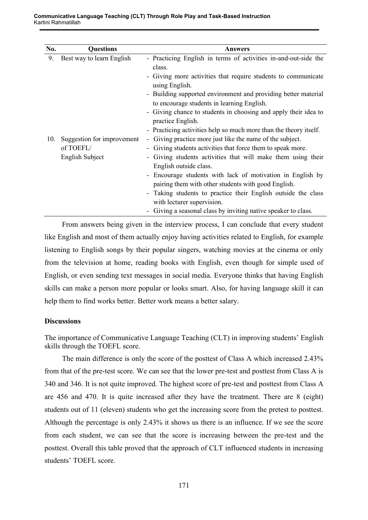| No. | <b>Questions</b>           | Answers                                                                                                      |
|-----|----------------------------|--------------------------------------------------------------------------------------------------------------|
| 9.  | Best way to learn English  | - Practicing English in terms of activities in-and-out-side the<br>class.                                    |
|     |                            | - Giving more activities that require students to communicate<br>using English.                              |
|     |                            | - Building supported environment and providing better material<br>to encourage students in learning English. |
|     |                            | - Giving chance to students in choosing and apply their idea to<br>practice English.                         |
|     |                            | - Practicing activities help so much more than the theory itself.                                            |
| 10. | Suggestion for improvement | Giving practice more just like the name of the subject.<br>$\sim$                                            |
|     | of TOEFL/                  | - Giving students activities that force them to speak more.                                                  |
|     | English Subject            | - Giving students activities that will make them using their<br>English outside class.                       |
|     |                            | - Encourage students with lack of motivation in English by                                                   |
|     |                            | pairing them with other students with good English.                                                          |
|     |                            | - Taking students to practice their English outside the class<br>with lecturer supervision.                  |
|     |                            | - Giving a seasonal class by inviting native speaker to class.                                               |

From answers being given in the interview process, I can conclude that every student like English and most of them actually enjoy having activities related to English, for example listening to English songs by their popular singers, watching movies at the cinema or only from the television at home, reading books with English, even though for simple used of English, or even sending text messages in social media. Everyone thinks that having English skills can make a person more popular or looks smart. Also, for having language skill it can help them to find works better. Better work means a better salary.

## **Discussions**

The importance of Communicative Language Teaching (CLT) in improving students' English skills through the TOEFL score.

The main difference is only the score of the posttest of Class A which increased 2.43% from that of the pre-test score. We can see that the lower pre-test and posttest from Class A is 340 and 346. It is not quite improved. The highest score of pre-test and posttest from Class A are 456 and 470. It is quite increased after they have the treatment. There are 8 (eight) students out of 11 (eleven) students who get the increasing score from the pretest to posttest. Although the percentage is only 2.43% it shows us there is an influence. If we see the score from each student, we can see that the score is increasing between the pre-test and the posttest. Overall this table proved that the approach of CLT influenced students in increasing students' TOEFL score.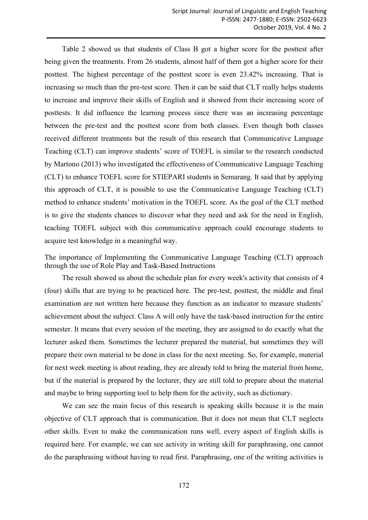Table 2 showed us that students of Class B got a higher score for the posttest after being given the treatments. From 26 students, almost half of them got a higher score for their posttest. The highest percentage of the posttest score is even 23.42% increasing. That is increasing so much than the pre-test score. Then it can be said that CLT really helps students to increase and improve their skills of English and it showed from their increasing score of posttests. It did influence the learning process since there was an increasing percentage between the pre-test and the posttest score from both classes. Even though both classes received different treatments but the result of this research that Communicative Language Teaching (CLT) can improve students' score of TOEFL is similar to the research conducted by Martono (2013) who investigated the effectiveness of Communicative Language Teaching (CLT) to enhance TOEFL score for STIEPARI students in Semarang. It said that by applying this approach of CLT, it is possible to use the Communicative Language Teaching (CLT) method to enhance students' motivation in the TOEFL score. As the goal of the CLT method is to give the students chances to discover what they need and ask for the need in English, teaching TOEFL subject with this communicative approach could encourage students to acquire test knowledge in a meaningful way.

The importance of Implementing the Communicative Language Teaching (CLT) approach through the use of Role Play and Task-Based Instructions

The result showed us about the schedule plan for every week's activity that consists of 4 (four) skills that are trying to be practiced here. The pre-test, posttest, the middle and final examination are not written here because they function as an indicator to measure students' achievement about the subject. Class A will only have the task-based instruction for the entire semester. It means that every session of the meeting, they are assigned to do exactly what the lecturer asked them. Sometimes the lecturer prepared the material, but sometimes they will prepare their own material to be done in class for the next meeting. So, for example, material for next week meeting is about reading, they are already told to bring the material from home, but if the material is prepared by the lecturer, they are still told to prepare about the material and maybe to bring supporting tool to help them for the activity, such as dictionary.

We can see the main focus of this research is speaking skills because it is the main objective of CLT approach that is communication. But it does not mean that CLT neglects other skills. Even to make the communication runs well, every aspect of English skills is required here. For example, we can see activity in writing skill for paraphrasing, one cannot do the paraphrasing without having to read first. Paraphrasing, one of the writing activities is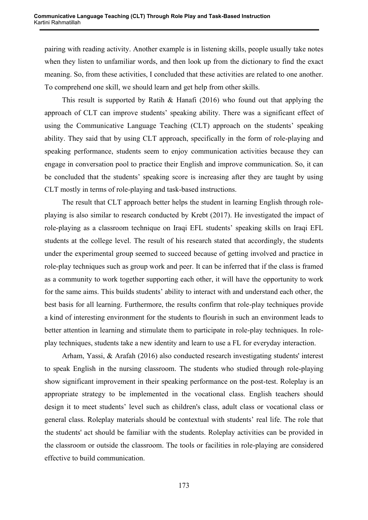pairing with reading activity. Another example is in listening skills, people usually take notes when they listen to unfamiliar words, and then look up from the dictionary to find the exact meaning. So, from these activities, I concluded that these activities are related to one another. To comprehend one skill, we should learn and get help from other skills.

This result is supported by Ratih & Hanafi (2016) who found out that applying the approach of CLT can improve students' speaking ability. There was a significant effect of using the Communicative Language Teaching (CLT) approach on the students' speaking ability. They said that by using CLT approach, specifically in the form of role-playing and speaking performance, students seem to enjoy communication activities because they can engage in conversation pool to practice their English and improve communication. So, it can be concluded that the students' speaking score is increasing after they are taught by using CLT mostly in terms of role-playing and task-based instructions.

The result that CLT approach better helps the student in learning English through roleplaying is also similar to research conducted by Krebt (2017). He investigated the impact of role-playing as a classroom technique on Iraqi EFL students' speaking skills on Iraqi EFL students at the college level. The result of his research stated that accordingly, the students under the experimental group seemed to succeed because of getting involved and practice in role-play techniques such as group work and peer. It can be inferred that if the class is framed as a community to work together supporting each other, it will have the opportunity to work for the same aims. This builds students' ability to interact with and understand each other, the best basis for all learning. Furthermore, the results confirm that role-play techniques provide a kind of interesting environment for the students to flourish in such an environment leads to better attention in learning and stimulate them to participate in role-play techniques. In roleplay techniques, students take a new identity and learn to use a FL for everyday interaction.

Arham, Yassi, & Arafah (2016) also conducted research investigating students' interest to speak English in the nursing classroom. The students who studied through role-playing show significant improvement in their speaking performance on the post-test. Roleplay is an appropriate strategy to be implemented in the vocational class. English teachers should design it to meet students' level such as children's class, adult class or vocational class or general class. Roleplay materials should be contextual with students' real life. The role that the students' act should be familiar with the students. Roleplay activities can be provided in the classroom or outside the classroom. The tools or facilities in role-playing are considered effective to build communication.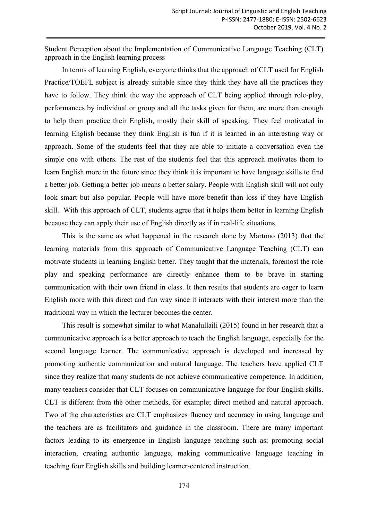Student Perception about the Implementation of Communicative Language Teaching (CLT) approach in the English learning process

In terms of learning English, everyone thinks that the approach of CLT used for English Practice/TOEFL subject is already suitable since they think they have all the practices they have to follow. They think the way the approach of CLT being applied through role-play, performances by individual or group and all the tasks given for them, are more than enough to help them practice their English, mostly their skill of speaking. They feel motivated in learning English because they think English is fun if it is learned in an interesting way or approach. Some of the students feel that they are able to initiate a conversation even the simple one with others. The rest of the students feel that this approach motivates them to learn English more in the future since they think it is important to have language skills to find a better job. Getting a better job means a better salary. People with English skill will not only look smart but also popular. People will have more benefit than loss if they have English skill. With this approach of CLT, students agree that it helps them better in learning English because they can apply their use of English directly as if in real-life situations.

This is the same as what happened in the research done by Martono (2013) that the learning materials from this approach of Communicative Language Teaching (CLT) can motivate students in learning English better. They taught that the materials, foremost the role play and speaking performance are directly enhance them to be brave in starting communication with their own friend in class. It then results that students are eager to learn English more with this direct and fun way since it interacts with their interest more than the traditional way in which the lecturer becomes the center.

This result is somewhat similar to what Manalullaili (2015) found in her research that a communicative approach is a better approach to teach the English language, especially for the second language learner. The communicative approach is developed and increased by promoting authentic communication and natural language. The teachers have applied CLT since they realize that many students do not achieve communicative competence. In addition, many teachers consider that CLT focuses on communicative language for four English skills. CLT is different from the other methods, for example; direct method and natural approach. Two of the characteristics are CLT emphasizes fluency and accuracy in using language and the teachers are as facilitators and guidance in the classroom. There are many important factors leading to its emergence in English language teaching such as; promoting social interaction, creating authentic language, making communicative language teaching in teaching four English skills and building learner-centered instruction.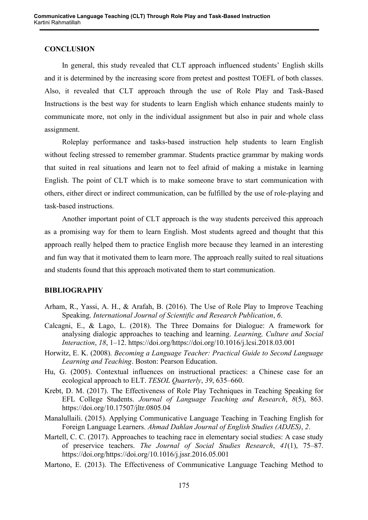## **CONCLUSION**

In general, this study revealed that CLT approach influenced students' English skills and it is determined by the increasing score from pretest and posttest TOEFL of both classes. Also, it revealed that CLT approach through the use of Role Play and Task-Based Instructions is the best way for students to learn English which enhance students mainly to communicate more, not only in the individual assignment but also in pair and whole class assignment.

Roleplay performance and tasks-based instruction help students to learn English without feeling stressed to remember grammar. Students practice grammar by making words that suited in real situations and learn not to feel afraid of making a mistake in learning English. The point of CLT which is to make someone brave to start communication with others, either direct or indirect communication, can be fulfilled by the use of role-playing and task-based instructions.

Another important point of CLT approach is the way students perceived this approach as a promising way for them to learn English. Most students agreed and thought that this approach really helped them to practice English more because they learned in an interesting and fun way that it motivated them to learn more. The approach really suited to real situations and students found that this approach motivated them to start communication.

#### **BIBLIOGRAPHY**

- Arham, R., Yassi, A. H., & Arafah, B. (2016). The Use of Role Play to Improve Teaching Speaking. *International Journal of Scientific and Research Publication*, *6*.
- Calcagni, E., & Lago, L. (2018). The Three Domains for Dialogue: A framework for analysing dialogic approaches to teaching and learning. *Learning, Culture and Social Interaction*, *18*, 1–12. https://doi.org/https://doi.org/10.1016/j.lcsi.2018.03.001
- Horwitz, E. K. (2008). *Becoming a Language Teacher: Practical Guide to Second Language Learning and Teaching*. Boston: Pearson Education.
- Hu, G. (2005). Contextual influences on instructional practices: a Chinese case for an ecological approach to ELT. *TESOL Quarterly*, *39*, 635–660.
- Krebt, D. M. (2017). The Effectiveness of Role Play Techniques in Teaching Speaking for EFL College Students. *Journal of Language Teaching and Research*, *8*(5), 863. https://doi.org/10.17507/jltr.0805.04
- Manalullaili. (2015). Applying Communicative Language Teaching in Teaching English for Foreign Language Learners. *Ahmad Dahlan Journal of English Studies (ADJES)*, *2*.
- Martell, C. C. (2017). Approaches to teaching race in elementary social studies: A case study of preservice teachers. *The Journal of Social Studies Research*, *41*(1), 75–87. https://doi.org/https://doi.org/10.1016/j.jssr.2016.05.001
- Martono, E. (2013). The Effectiveness of Communicative Language Teaching Method to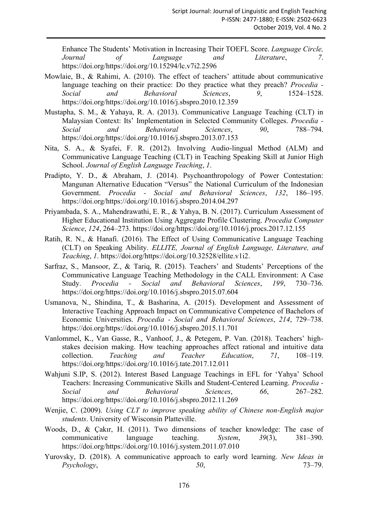Enhance The Students' Motivation in Increasing Their TOEFL Score. *Language Circle, Journal of Language and Literature*, *7*. https://doi.org/https://doi.org/10.15294/lc.v7i2.2596

- Mowlaie, B., & Rahimi, A. (2010). The effect of teachers' attitude about communicative language teaching on their practice: Do they practice what they preach? *Procedia - Social and Behavioral Sciences*, *9*, 1524–1528. https://doi.org/https://doi.org/10.1016/j.sbspro.2010.12.359
- Mustapha, S. M., & Yahaya, R. A. (2013). Communicative Language Teaching (CLT) in Malaysian Context: Its' Implementation in Selected Community Colleges. *Procedia - Social and Behavioral Sciences*, *90*, 788–794. https://doi.org/https://doi.org/10.1016/j.sbspro.2013.07.153
- Nita, S. A., & Syafei, F. R. (2012). Involving Audio-lingual Method (ALM) and Communicative Language Teaching (CLT) in Teaching Speaking Skill at Junior High School. *Journal of English Language Teaching*, *1*.
- Pradipto, Y. D., & Abraham, J. (2014). Psychoanthropology of Power Contestation: Mangunan Alternative Education "Versus" the National Curriculum of the Indonesian Government. *Procedia - Social and Behavioral Sciences*, *132*, 186–195. https://doi.org/https://doi.org/10.1016/j.sbspro.2014.04.297
- Priyambada, S. A., Mahendrawathi, E. R., & Yahya, B. N. (2017). Curriculum Assessment of Higher Educational Institution Using Aggregate Profile Clustering. *Procedia Computer Science*, *124*, 264–273. https://doi.org/https://doi.org/10.1016/j.procs.2017.12.155
- Ratih, R. N., & Hanafi. (2016). The Effect of Using Communicative Language Teaching (CLT) on Speaking Ability. *ELLITE, Journal of English Language, Literature, and Teaching*, *1*. https://doi.org/https://doi.org/10.32528/ellite.v1i2.
- Sarfraz, S., Mansoor, Z., & Tariq, R. (2015). Teachers' and Students' Perceptions of the Communicative Language Teaching Methodology in the CALL Environment: A Case Study. *Procedia - Social and Behavioral Sciences*, *199*, 730–736. https://doi.org/https://doi.org/10.1016/j.sbspro.2015.07.604
- Usmanova, N., Shindina, T., & Basharina, A. (2015). Development and Assessment of Interactive Teaching Approach Impact on Communicative Competence of Bachelors of Economic Universities. *Procedia - Social and Behavioral Sciences*, *214*, 729–738. https://doi.org/https://doi.org/10.1016/j.sbspro.2015.11.701
- Vanlommel, K., Van Gasse, R., Vanhoof, J., & Petegem, P. Van. (2018). Teachers' highstakes decision making. How teaching approaches affect rational and intuitive data collection. *Teaching and Teacher Education*, *71*, 108–119. https://doi.org/https://doi.org/10.1016/j.tate.2017.12.011
- Wahjuni S.IP, S. (2012). Interest Based Language Teachings in EFL for 'Yahya' School Teachers: Increasing Communicative Skills and Student-Centered Learning. *Procedia - Social and Behavioral Sciences*, *66*, 267–282. https://doi.org/https://doi.org/10.1016/j.sbspro.2012.11.269
- Wenjie, C. (2009). *Using CLT to improve speaking ability of Chinese non-English major students*. University of Wisconsin Platteville.
- Woods, D., & Çakır, H. (2011). Two dimensions of teacher knowledge: The case of communicative language teaching. *System*, *39*(3), 381–390. https://doi.org/https://doi.org/10.1016/j.system.2011.07.010
- Yurovsky, D. (2018). A communicative approach to early word learning. *New Ideas in Psychology*, *50*, 73–79.